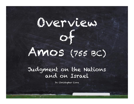

#### Judgment on the Nations and on Israel

Dr. Christopher Cone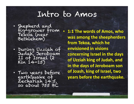## Intro to Amos

- Shepherd and fig-grower from Tekoa (near<br>Bethlehem)
- During Uzziah of Judah, Jeroboam II of Israel (2 Kin 14-15)
- Two years before earthquake of Zechariah 14:5, so about 755 BC

**1:1 The words of Amos, who was among the sheepherders** from Tekoa, which he **envisioned in visions concerning Israel in the days** of Uzziah king of Judah, and **in the days of Jeroboam son** of Joash, king of Israel, two **years before the earthquake.**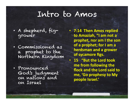## Intro to Amos

- A shepherd, figgrower
- Commissioned as a prophet to the Northern Kingdom
- Pronounced God's judgment on nations and on Israel

• **7:14 Then Amos replied to Amaziah, "I am not a** prophet, nor am I the son **of a prophet; for I am a herdsman and a grower** of sycamore figs.

**• 15 "But the Lord took me from following the flock and the Lord said to** me, 'Go prophesy to My **people Israel.'**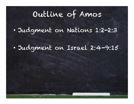• Judgment on Nations 1:2-2:3

• Judgment on Israel 2:4-9:15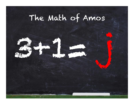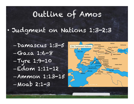#### • Judgment on Nations 1:3-2:3

–Damascus 1:3-5  $-Gaza$  1:6-8 –Tyre 1:9-10 –Edom 1:11-12 –Ammon 1:13-15  $-Moab$  2:1-3

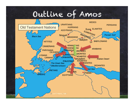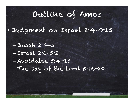- Judgment on Israel 2:4-9:15
	- Judah 2:4-5 –Israel 2:6-5:3 –Avoidable 5:4-15 –The Day of the Lord 5:16-20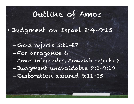- Judgment on Israel 2:4-9:15
	- –God rejects 5:21-27
	- –For arrogance 6
	- Amos intercedes, Amaziah rejects 7
	- Judgment unavoidable 8:1-9:10
	- –Restoration assured 9:11-15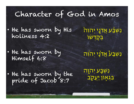### Character of God in Amos

- He has sworn by His holiness 4:2 <u>ׁנִשְׁבַּע אֲדֹנֵי יְהוִה</u> בְּקַדְשׁוֹ
- He has sworn by Himself 6:8

<u>נִשְׁבַעْ אֵד<sup>י</sup>נַי יְהוְה</u>

- He has sworn by the pride of Jacob<sup>1</sup>8:7
- נִשְבַ֥ע יְהוָ֖ה בִּגְאָוֹן <u>יַעֲ</u>קָב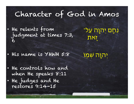### Character of God in Amos

• He relents from judgment at times 7:3, 6

ּנִחָם יְהוָה עַל־ זֹ֑את

• His name is YHWH 5:8

יְהוָ֥ה שְמֽו

• He controls how and when He speaks 8:11 • He judges and He restores 9:14-15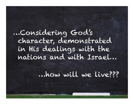…Considering God's character, demonstrated in His dealings with the nations and with Israel…

…how will we live???